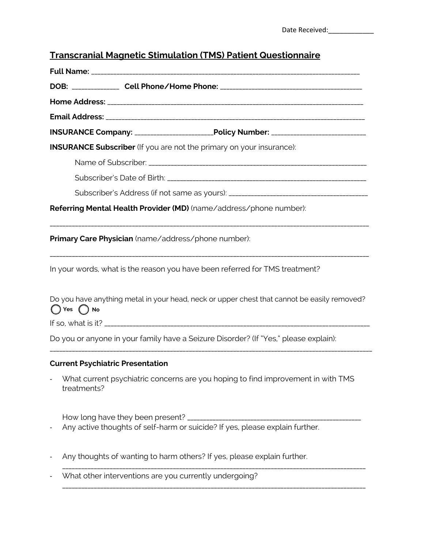# **Transcranial Magnetic Stimulation (TMS) Patient Questionnaire**

|                            | INSURANCE Company: ________________________Policy Number: ______________________            |
|----------------------------|---------------------------------------------------------------------------------------------|
|                            | <b>INSURANCE Subscriber</b> (If you are not the primary on your insurance):                 |
|                            |                                                                                             |
|                            |                                                                                             |
|                            | Subscriber's Address (if not same as yours): ___________________________________            |
|                            | Referring Mental Health Provider (MD) (name/address/phone number):                          |
|                            | Primary Care Physician (name/address/phone number):                                         |
|                            | In your words, what is the reason you have been referred for TMS treatment?                 |
| $\bigcap$ Yes $\bigcap$ No | Do you have anything metal in your head, neck or upper chest that cannot be easily removed? |
|                            |                                                                                             |
|                            | Do you or anyone in your family have a Seizure Disorder? (If "Yes," please explain):        |
|                            | <b>Current Psychiatric Presentation</b>                                                     |
| treatments?                | What current psychiatric concerns are you hoping to find improvement in with TMS            |

How long have they been present? \_\_\_\_\_\_\_\_\_\_\_\_\_\_\_\_\_\_\_\_\_\_\_\_\_\_\_\_\_\_\_\_\_\_\_\_\_\_\_\_\_\_\_\_\_\_\_\_\_\_\_\_\_\_\_

\_\_\_\_\_\_\_\_\_\_\_\_\_\_\_\_\_\_\_\_\_\_\_\_\_\_\_\_\_\_\_\_\_\_\_\_\_\_\_\_\_\_\_\_\_\_\_\_\_\_\_\_\_\_\_\_\_\_\_\_\_\_\_\_\_\_\_\_\_\_\_\_\_\_\_\_\_\_\_\_\_\_\_\_\_\_\_\_\_\_\_\_\_\_\_\_

\_\_\_\_\_\_\_\_\_\_\_\_\_\_\_\_\_\_\_\_\_\_\_\_\_\_\_\_\_\_\_\_\_\_\_\_\_\_\_\_\_\_\_\_\_\_\_\_\_\_\_\_\_\_\_\_\_\_\_\_\_\_\_\_\_\_\_\_\_\_\_\_\_\_\_\_\_\_\_\_\_\_\_\_\_\_\_\_\_\_\_\_\_\_\_\_

- Any active thoughts of self-harm or suicide? If yes, please explain further.
- Any thoughts of wanting to harm others? If yes, please explain further.
- What other interventions are you currently undergoing?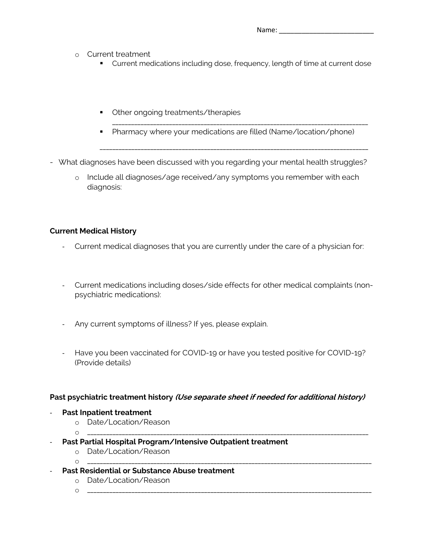Name: \_\_\_\_\_\_\_\_\_\_\_\_\_\_\_\_\_\_\_\_\_\_\_\_\_

- o Current treatment
	- Current medications including dose, frequency, length of time at current dose
	- Other ongoing treatments/therapies
	- § Pharmacy where your medications are filled (Name/location/phone)

\_\_\_\_\_\_\_\_\_\_\_\_\_\_\_\_\_\_\_\_\_\_\_\_\_\_\_\_\_\_\_\_\_\_\_\_\_\_\_\_\_\_\_\_\_\_\_\_\_\_\_\_\_\_\_\_\_\_\_\_\_\_\_\_\_\_\_\_\_\_\_\_\_\_\_\_\_\_\_\_\_

\_\_\_\_\_\_\_\_\_\_\_\_\_\_\_\_\_\_\_\_\_\_\_\_\_\_\_\_\_\_\_\_\_\_\_\_\_\_\_\_\_\_\_\_\_\_\_\_\_\_\_\_\_\_\_\_\_\_\_\_\_\_\_\_\_\_\_\_\_\_\_\_\_\_\_\_\_\_\_\_\_\_\_\_\_

- What diagnoses have been discussed with you regarding your mental health struggles?
	- o Include all diagnoses/age received/any symptoms you remember with each diagnosis:

# **Current Medical History**

- Current medical diagnoses that you are currently under the care of a physician for:
- Current medications including doses/side effects for other medical complaints (nonpsychiatric medications):
- Any current symptoms of illness? If yes, please explain.
- Have you been vaccinated for COVID-19 or have you tested positive for COVID-19? (Provide details)

## **Past psychiatric treatment history (Use separate sheet if needed for additional history)**

- **Past Inpatient treatment** 
	- o Date/Location/Reason
	- o \_\_\_\_\_\_\_\_\_\_\_\_\_\_\_\_\_\_\_\_\_\_\_\_\_\_\_\_\_\_\_\_\_\_\_\_\_\_\_\_\_\_\_\_\_\_\_\_\_\_\_\_\_\_\_\_\_\_\_\_\_\_\_\_\_\_\_\_\_\_\_\_\_\_\_\_\_\_\_\_\_\_\_\_\_\_\_\_\_
- **Past Partial Hospital Program/Intensive Outpatient treatment**
	- o Date/Location/Reason
	- o \_\_\_\_\_\_\_\_\_\_\_\_\_\_\_\_\_\_\_\_\_\_\_\_\_\_\_\_\_\_\_\_\_\_\_\_\_\_\_\_\_\_\_\_\_\_\_\_\_\_\_\_\_\_\_\_\_\_\_\_\_\_\_\_\_\_\_\_\_\_\_\_\_\_\_\_\_\_\_\_\_\_\_\_\_\_\_\_\_\_
- **Past Residential or Substance Abuse treatment**
	- o Date/Location/Reason
	- o \_\_\_\_\_\_\_\_\_\_\_\_\_\_\_\_\_\_\_\_\_\_\_\_\_\_\_\_\_\_\_\_\_\_\_\_\_\_\_\_\_\_\_\_\_\_\_\_\_\_\_\_\_\_\_\_\_\_\_\_\_\_\_\_\_\_\_\_\_\_\_\_\_\_\_\_\_\_\_\_\_\_\_\_\_\_\_\_\_\_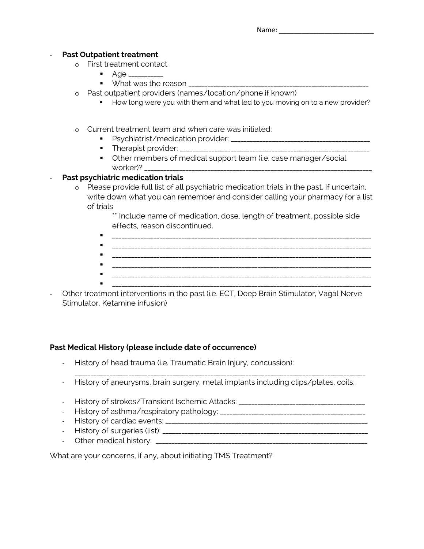#### **Past Outpatient treatment**

- o First treatment contact
	- $\blacksquare$   $\blacksquare$   $\blacksquare$   $\blacksquare$   $\blacksquare$   $\blacksquare$   $\blacksquare$   $\blacksquare$   $\blacksquare$   $\blacksquare$   $\blacksquare$   $\blacksquare$   $\blacksquare$   $\blacksquare$   $\blacksquare$   $\blacksquare$   $\blacksquare$   $\blacksquare$   $\blacksquare$   $\blacksquare$   $\blacksquare$   $\blacksquare$   $\blacksquare$   $\blacksquare$   $\blacksquare$   $\blacksquare$   $\blacksquare$   $\blacksquare$   $\blacksquare$   $\blacksquare$   $\blacksquare$   $\blacks$ 
		- $\bullet$  What was the reason
- o Past outpatient providers (names/location/phone if known)
	- **•** How long were you with them and what led to you moving on to a new provider?
- o Current treatment team and when care was initiated:
	- § Psychiatrist/medication provider: \_\_\_\_\_\_\_\_\_\_\_\_\_\_\_\_\_\_\_\_\_\_\_\_\_\_\_\_\_\_\_\_\_\_\_\_\_\_\_\_\_\_\_\_
	- § Therapist provider: \_\_\_\_\_\_\_\_\_\_\_\_\_\_\_\_\_\_\_\_\_\_\_\_\_\_\_\_\_\_\_\_\_\_\_\_\_\_\_\_\_\_\_\_\_\_\_\_\_\_\_\_\_\_\_\_\_\_\_\_
	- Other members of medical support team (i.e. case manager/social worker)?

# **Past psychiatric medication trials**

o Please provide full list of all psychiatric medication trials in the past. If uncertain, write down what you can remember and consider calling your pharmacy for a list of trials

> \*\* Include name of medication, dose, length of treatment, possible side effects, reason discontinued.

- § \_\_\_\_\_\_\_\_\_\_\_\_\_\_\_\_\_\_\_\_\_\_\_\_\_\_\_\_\_\_\_\_\_\_\_\_\_\_\_\_\_\_\_\_\_\_\_\_\_\_\_\_\_\_\_\_\_\_\_\_\_\_\_\_\_\_\_\_\_\_\_\_\_\_\_\_\_\_\_\_\_\_
- § \_\_\_\_\_\_\_\_\_\_\_\_\_\_\_\_\_\_\_\_\_\_\_\_\_\_\_\_\_\_\_\_\_\_\_\_\_\_\_\_\_\_\_\_\_\_\_\_\_\_\_\_\_\_\_\_\_\_\_\_\_\_\_\_\_\_\_\_\_\_\_\_\_\_\_\_\_\_\_\_\_\_ § \_\_\_\_\_\_\_\_\_\_\_\_\_\_\_\_\_\_\_\_\_\_\_\_\_\_\_\_\_\_\_\_\_\_\_\_\_\_\_\_\_\_\_\_\_\_\_\_\_\_\_\_\_\_\_\_\_\_\_\_\_\_\_\_\_\_\_\_\_\_\_\_\_\_\_\_\_\_\_\_\_\_
- 
- 
- § \_\_\_\_\_\_\_\_\_\_\_\_\_\_\_\_\_\_\_\_\_\_\_\_\_\_\_\_\_\_\_\_\_\_\_\_\_\_\_\_\_\_\_\_\_\_\_\_\_\_\_\_\_\_\_\_\_\_\_\_\_\_\_\_\_\_\_\_\_\_\_\_\_\_\_\_\_\_\_\_\_\_
- Other treatment interventions in the past (i.e. ECT, Deep Brain Stimulator, Vagal Nerve Stimulator, Ketamine infusion)

## **Past Medical History (please include date of occurrence)**

- History of head trauma (i.e. Traumatic Brain Injury, concussion):
- History of aneurysms, brain surgery, metal implants including clips/plates, coils:

\_\_\_\_\_\_\_\_\_\_\_\_\_\_\_\_\_\_\_\_\_\_\_\_\_\_\_\_\_\_\_\_\_\_\_\_\_\_\_\_\_\_\_\_\_\_\_\_\_\_\_\_\_\_\_\_\_\_\_\_\_\_\_\_\_\_\_\_\_\_\_\_\_\_\_\_\_\_\_\_\_\_\_\_\_\_\_\_\_\_\_\_

- History of strokes/Transient Ischemic Attacks: \_\_\_\_\_\_\_\_\_\_\_\_\_\_\_\_\_\_\_\_\_\_\_\_\_\_\_\_\_\_\_
- History of asthma/respiratory pathology: \_\_\_\_\_\_\_\_\_\_\_\_\_\_\_\_\_\_\_\_\_\_\_\_\_\_\_\_\_\_\_\_\_\_\_\_\_\_\_\_\_\_\_\_\_\_
- History of cardiac events: \_\_\_\_\_\_\_\_\_\_\_\_\_\_\_\_\_\_\_\_\_\_\_\_\_\_\_\_\_\_\_\_\_\_\_\_\_\_\_\_\_\_\_\_\_\_\_\_\_\_\_\_\_\_\_\_\_\_\_\_\_\_\_\_
- History of surgeries (list): \_\_\_\_\_\_\_\_\_\_\_\_\_\_\_\_\_\_\_\_\_\_\_\_\_\_\_\_\_\_\_\_\_\_\_\_\_\_\_\_\_\_\_\_\_\_\_\_\_\_\_\_\_\_\_\_\_\_\_\_\_\_\_\_\_
- Other medical history: \_\_\_\_\_\_\_\_\_\_\_\_\_\_\_\_\_\_\_\_\_\_\_\_\_\_\_\_\_\_\_\_\_\_\_\_\_\_\_\_\_\_\_\_\_\_\_\_\_\_\_\_\_\_\_\_\_\_\_\_\_\_\_\_\_\_\_

What are your concerns, if any, about initiating TMS Treatment?